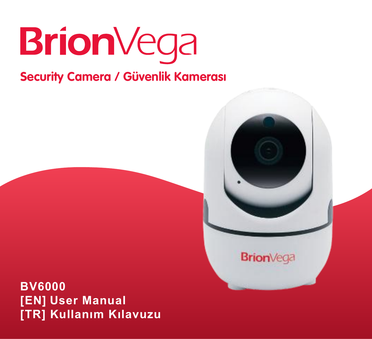

# **Security Camera / Güvenlik Kamerası**

**Brion**Vega

**BV6000 [EN] User Manual [TR] Kullanım Kılavuzu**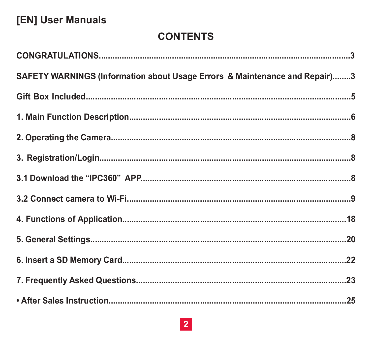## [EN] User Manuals

## **CONTENTS**

| SAFETY WARNINGS (Information about Usage Errors & Maintenance and Repair)3 |  |
|----------------------------------------------------------------------------|--|
|                                                                            |  |
|                                                                            |  |
|                                                                            |  |
|                                                                            |  |
|                                                                            |  |
|                                                                            |  |
|                                                                            |  |
|                                                                            |  |
|                                                                            |  |
|                                                                            |  |
|                                                                            |  |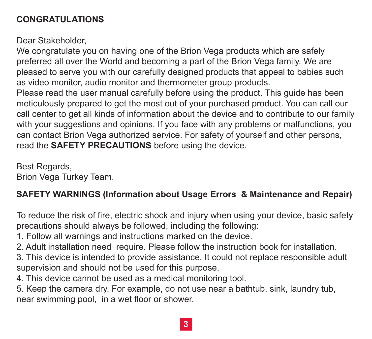## **CONGRATULATIONS**

Dear Stakeholder.

We congratulate you on having one of the Brion Vega products which are safely preferred all over the World and becoming a part of the Brion Vega family. We are pleased to serve you with our carefully designed products that appeal to babies such as video monitor, audio monitor and thermometer group products.

Please read the user manual carefully before using the product. This quide has been meticulously prepared to get the most out of your purchased product. You can call our call center to get all kinds of information about the device and to contribute to our family with your suggestions and opinions. If you face with any problems or malfunctions, you can contact Brion Vega authorized service. For safety of yourself and other persons, read the SAFETY PRECAUTIONS before using the device.

Best Regards. Brion Vega Turkey Team.

## SAFETY WARNINGS (Information about Usage Errors & Maintenance and Repair)

To reduce the risk of fire, electric shock and injury when using your device, basic safety precautions should always be followed, including the following:

- 1. Follow all warnings and instructions marked on the device.
- 2. Adult installation need require. Please follow the instruction book for installation.
- 3. This device is intended to provide assistance. It could not replace responsible adult supervision and should not be used for this purpose.
- 4. This device cannot be used as a medical monitoring tool.

5. Keep the camera dry. For example, do not use near a bathtub, sink, laundry tub. near swimming pool. in a wet floor or shower.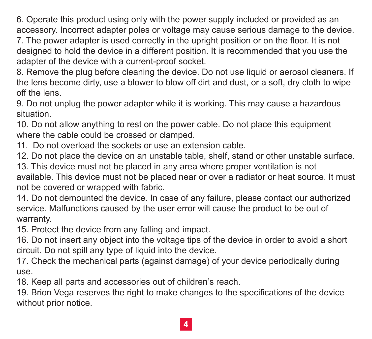6. Operate this product using only with the power supply included or provided as an accessory. Incorrect adapter poles or voltage may cause serious damage to the device.

7. The power adapter is used correctly in the upright position or on the floor. It is not designed to hold the device in a different position. It is recommended that you use the adapter of the device with a current-proof socket.

8. Remove the plug before cleaning the device. Do not use liquid or aerosol cleaners. If the lens become dirty, use a blower to blow off dirt and dust, or a soft, dry cloth to wipe off the lens.

9. Do not unplug the power adapter while it is working. This may cause a hazardous situation

10. Do not allow anything to rest on the power cable. Do not place this equipment where the cable could be crossed or clamped.

11 Do not overload the sockets or use an extension cable

12. Do not place the device on an unstable table, shelf, stand or other unstable surface.

13. This device must not be placed in any area where proper ventilation is not available. This device must not be placed near or over a radiator or heat source. It must not be covered or wrapped with fabric.

14. Do not demounted the device. In case of any failure, please contact our authorized service. Malfunctions caused by the user error will cause the product to be out of warranty.

15. Protect the device from any falling and impact.

16. Do not insert any object into the voltage tips of the device in order to avoid a short circuit. Do not spill any type of liquid into the device.

17. Check the mechanical parts (against damage) of your device periodically during **USe** 

18. Keep all parts and accessories out of children's reach.

19. Brion Vega reserves the right to make changes to the specifications of the device without prior notice.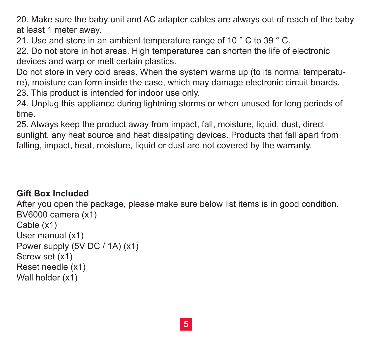20. Make sure the baby unit and AC adapter cables are always out of reach of the baby at least 1 meter away.

21. Use and store in an ambient temperature range of 10 °C to 39 °C.

22. Do not store in hot areas. High temperatures can shorten the life of electronic devices and warp or melt certain plastics.

Do not store in very cold areas. When the system warms up (to its normal temperature), moisture can form inside the case, which may damage electronic circuit boards.

23. This product is intended for indoor use only.

24. Unplug this appliance during lightning storms or when unused for long periods of time

25. Always keep the product away from impact, fall, moisture, liquid, dust, direct sunlight, any heat source and heat dissipating devices. Products that fall apart from falling, impact, heat, moisture, liquid or dust are not covered by the warranty.

## **Gift Box Included**

After you open the package, please make sure below list items is in good condition. BV6000 camera (x1) Cable (x1) User manual (x1) Power supply (5V DC / 1A) (x1) Screw set (x1) Reset needle (x1) Wall holder (x1)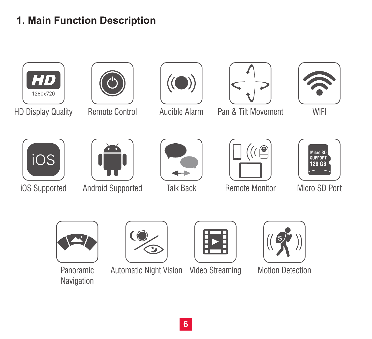## **1. Main Function Description**





HD Display Quality Remote Control Audible Alarm





Pan & Tilt Movement



WIFI





iOS Supported Android Supported





Talk Back **Remote Monitor** Micro SD Port





Navigation



Panoramic Automatic Night Vision Video Streaming Motion Detection Video Streaming





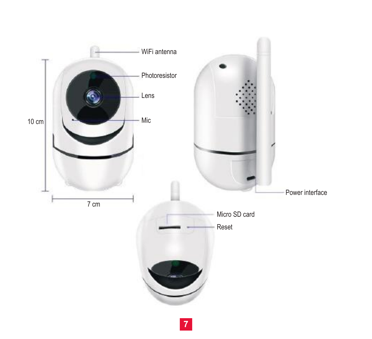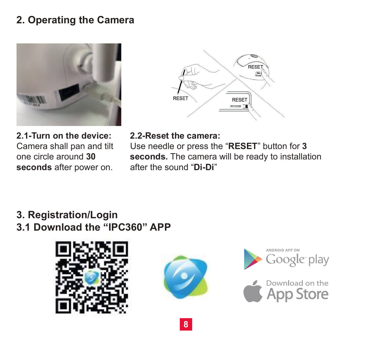## **2. Operating the Camera**





**2.1-Turn on the device:** Camera shall pan and tilt one circle around **30 seconds** after power on.

**2.2-Reset the camera:** Use needle or press the "**RESET**" button for **3 seconds.** The camera will be ready to installation after the sound "**Di-Di**"

## **3. Registration/Login 3.1 Download the "IPC360" APP**







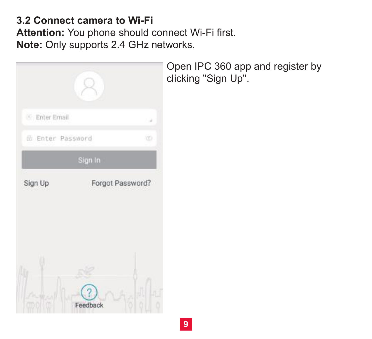## **3.2 Connect camera to Wi-Fi**

**Attention:** You phone should connect Wi-Fi first. **Note:** Only supports 2.4 GHz networks.



Open IPC 360 app and register by clicking "Sign Up".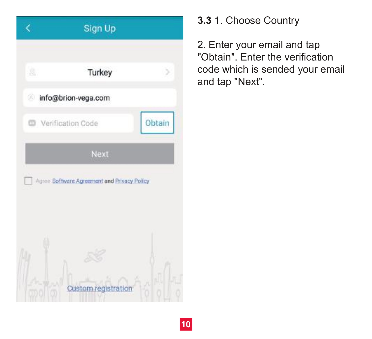

**3.3** 1. Choose Country

2. Enter your email and tap "Obtain". Enter the verification code which is sended your email and tap "Next".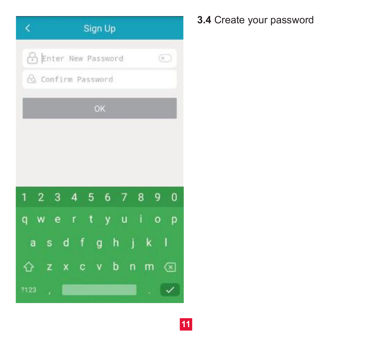| Sign Up<br>K.                                                                    |
|----------------------------------------------------------------------------------|
| Enter New Password<br>$\odot$                                                    |
| Confirm Password                                                                 |
| OK                                                                               |
|                                                                                  |
|                                                                                  |
|                                                                                  |
| 2 3 4 5 6<br>89<br>$\mathbf 0$<br>1<br>7                                         |
| $\pm$ 1 $\pm$<br>$\mathbf{t}$<br>y u<br>e e<br>$\circ$<br>$\mathbf{r}$<br>p<br>q |
| dfgh<br>Ò<br>1<br>k<br>a<br>S                                                    |
| $v$ b<br>'n<br>m<br>$\left( \overline{x}\right)$<br>z<br>$\mathbf{c}$<br>χ<br>ናን |
| 7123<br>ř.                                                                       |

# **3.4** Create your password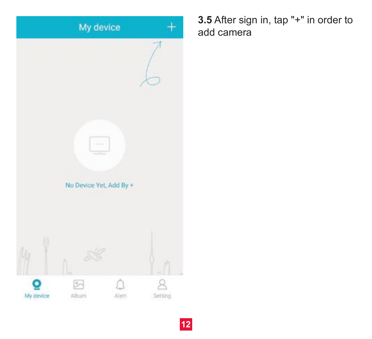

**3.5** After sign in, tap "+" in order to add camera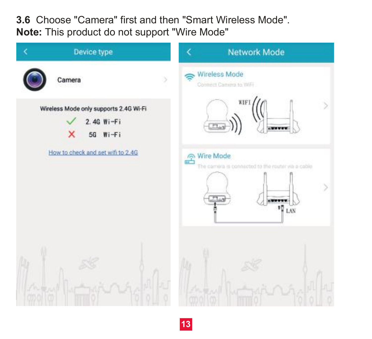**3.6** Choose "Camera" first and then "Smart Wireless Mode". **Note:** This product do not support "Wire Mode"

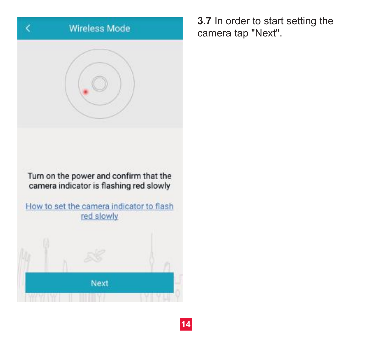# **Wireless Mode**

Turn on the power and confirm that the camera indicator is flashing red slowly

How to set the camera indicator to flash red slowly



**3.7** In order to start setting the camera tap "Next".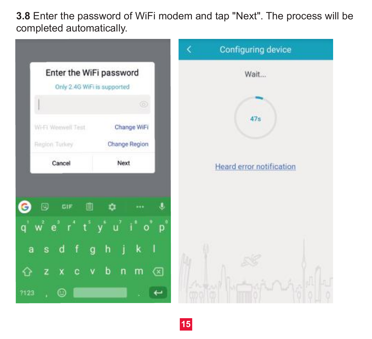**3.8** Enter the password of WiFi modem and tap "Next". The process will be completed automatically.

|      |                                                         |                              | <b>Configuring device</b><br>K  |
|------|---------------------------------------------------------|------------------------------|---------------------------------|
|      | Enter the WiFi password                                 |                              | Wait                            |
|      | Only 2.4G WiFi is supported<br>$\overline{\phantom{a}}$ | 6                            |                                 |
|      | Wi-Fi Weewell Test                                      | Change WiFi                  | 47s                             |
|      | Region Tuckey<br>Cancel                                 | <b>Change Region</b><br>Next |                                 |
|      |                                                         |                              | <b>Heard error notification</b> |
|      | GIF<br>圓<br>冋                                           | ů                            |                                 |
|      | $e^3$                                                   | $i^{\ast}$ o<br>ໍ່ປ<br>p     |                                 |
| a    | f<br>g<br>s<br>d                                        | k<br>h                       |                                 |
| 7123 | v<br>z<br>c<br>O                                        | b<br>✍<br>m<br>n             |                                 |
|      |                                                         |                              |                                 |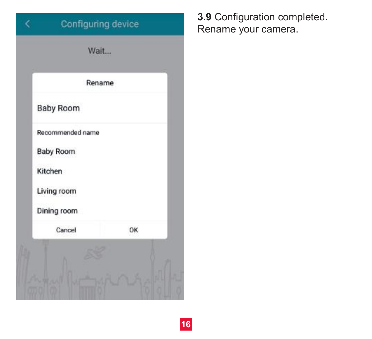|                  | Rename |
|------------------|--------|
| <b>Baby Room</b> |        |
| Recommended name |        |
| Baby Room        |        |
| Kitchen          |        |
| Living room      |        |
| Dining room      |        |
| Cancel           | OK     |

**3.9** Configuration completed. Rename your camera.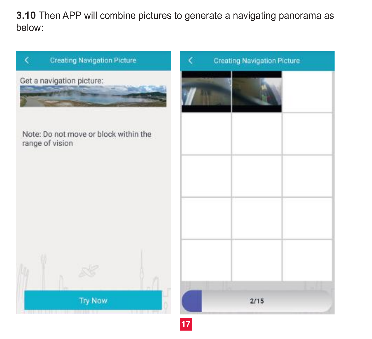**3.10** Then APP will combine pictures to generate a navigating panorama as below:

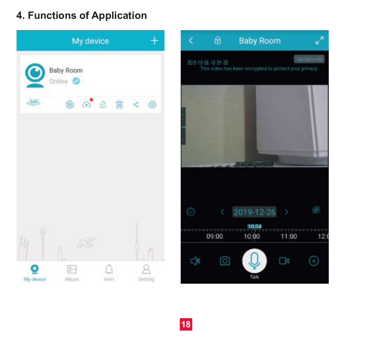## **4. Functions of Application**



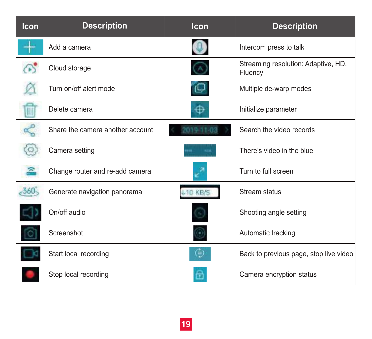| Icon           | <b>Description</b>               | Icon            | <b>Description</b>                             |
|----------------|----------------------------------|-----------------|------------------------------------------------|
|                | Add a camera                     |                 | Intercom press to talk                         |
|                | Cloud storage                    |                 | Streaming resolution: Adaptive, HD,<br>Fluency |
|                | Turn on/off alert mode           | ن⊃              | Multiple de-warp modes                         |
| W              | Delete camera                    | ⊕               | Initialize parameter                           |
| L              | Share the camera another account | 01911-03        | Search the video records                       |
| $\circ$        | Camera setting                   |                 | There's video in the blue                      |
| 요              | Change router and re-add camera  |                 | Turn to full screen                            |
| $-360^{\circ}$ | Generate navigation panorama     | <b>410 KB/S</b> | Stream status                                  |
|                | On/off audio                     |                 | Shooting angle setting                         |
|                | Screenshot                       |                 | Automatic tracking                             |
|                | Start local recording            | ⊜               | Back to previous page, stop live video         |
|                | Stop local recording             |                 | Camera encryption status                       |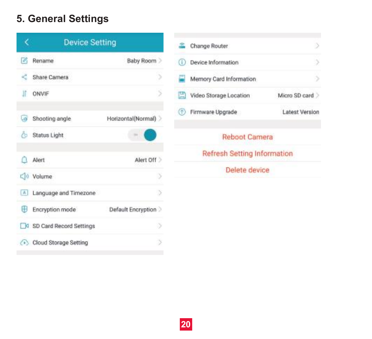## **5. General Settings**



| s. | Change Router                      |                       |
|----|------------------------------------|-----------------------|
|    | Device Information                 | 5                     |
| ٦  | Memory Card Information            | 5                     |
|    | Video Storage Location             | Micro SD card         |
|    | Firmware Upgrade                   | <b>Latest Version</b> |
|    | <b>Reboot Camera</b>               |                       |
|    | <b>Refresh Setting Information</b> |                       |
|    | Delete device                      |                       |
|    |                                    |                       |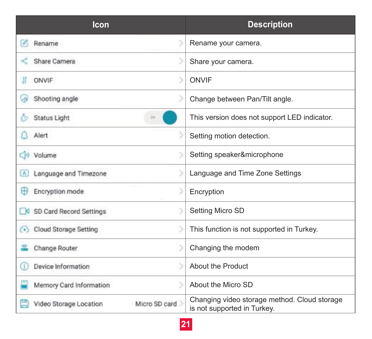| Icon                                          |               | <b>Description</b>                                                          |
|-----------------------------------------------|---------------|-----------------------------------------------------------------------------|
| V<br>Rename                                   |               | Rename your camera.                                                         |
| Share Camera                                  |               | Share your camera.                                                          |
| ONVIF                                         |               | ONVIF                                                                       |
| Shooting angle<br>æ                           |               | Change between Pan/Tilt angle.                                              |
| <b>Status Light</b>                           | w             | This version does not support LED indicator.                                |
| Alert                                         |               | Setting motion detection.                                                   |
| <>> Volume                                    |               | Setting speaker&microphone                                                  |
| Language and Timezone<br>$\boxed{\mathbb{A}}$ |               | Language and Time Zone Settings                                             |
| ⊕<br>Encryption mode                          |               | Encryption                                                                  |
| SD Card Record Settings                       | 5             | Setting Micro SD                                                            |
| Cloud Storage Setting                         |               | This function is not supported in Turkey.                                   |
| Change Router                                 |               | Changing the modem                                                          |
| Device Information<br>⋒                       |               | About the Product                                                           |
| Memory Card Information                       |               | About the Micro SD                                                          |
| Video Storage Location                        | Micro SD card | Changing video storage method. Cloud storage<br>is not supported in Turkey. |

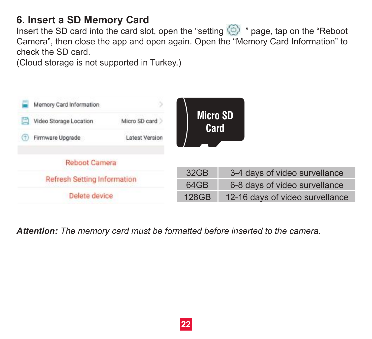## **6. Insert a SD Memory Card**

Insert the SD card into the card slot, open the "setting  $\circled{)}$ " page, tap on the "Reboot Camera", then close the app and open again. Open the "Memory Card Information" to check the SD card.

(Cloud storage is not supported in Turkey.)



*Attention: The memory card must be formatted before inserted to the camera.*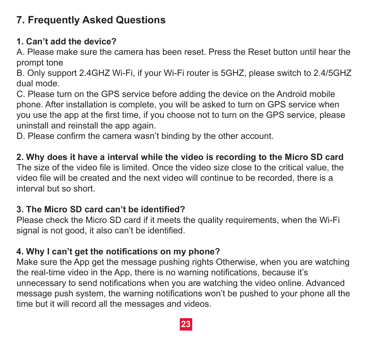## **7. Frequently Asked Questions**

### **1. Can't add the device?**

A. Please make sure the camera has been reset. Press the Reset button until hear the prompt tone

B. Only support 2.4GHZ Wi-Fi, if your Wi-Fi router is 5GHZ, please switch to 2.4/5GHZ dual mode.

C. Please turn on the GPS service before adding the device on the Android mobile phone. After installation is complete, you will be asked to turn on GPS service when you use the app at the first time, if you choose not to turn on the GPS service, please uninstall and reinstall the app again.

D. Please confirm the camera wasn't binding by the other account.

## **2. Why does it have a interval while the video is recording to the Micro SD card**

The size of the video file is limited. Once the video size close to the critical value, the video file will be created and the next video will continue to be recorded, there is a interval but so short.

#### **3. The Micro SD card can't be identified?**

Please check the Micro SD card if it meets the quality requirements, when the Wi-Fi signal is not good, it also can't be identified.

#### **4. Why I can't get the notifications on my phone?**

Make sure the App get the message pushing rights Otherwise, when you are watching the real-time video in the App, there is no warning notifications, because it's unnecessary to send notifications when you are watching the video online. Advanced message push system, the warning notifications won't be pushed to your phone all the time but it will record all the messages and videos.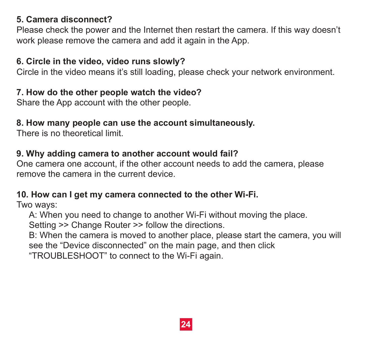#### **5. Camera disconnect?**

Please check the power and the Internet then restart the camera. If this way doesn't work please remove the camera and add it again in the App.

#### **6. Circle in the video, video runs slowly?**

Circle in the video means it's still loading, please check your network environment.

#### **7. How do the other people watch the video?**

Share the App account with the other people.

#### **8. How many people can use the account simultaneously.**

There is no theoretical limit.

#### **9. Why adding camera to another account would fail?**

One camera one account, if the other account needs to add the camera, please remove the camera in the current device.

#### **10. How can I get my camera connected to the other Wi-Fi.**

Two ways:

A: When you need to change to another Wi-Fi without moving the place.

Setting >> Change Router >> follow the directions.

 B: When the camera is moved to another place, please start the camera, you will see the "Device disconnected" on the main page, and then click

"TROUBLESHOOT" to connect to the Wi-Fi again.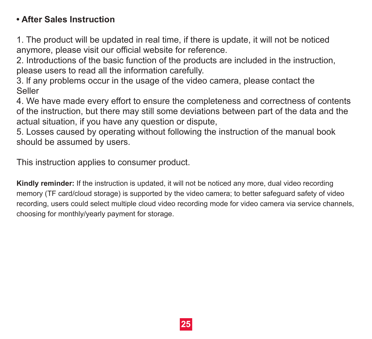## **• After Sales Instruction**

1. The product will be updated in real time, if there is update, it will not be noticed anymore, please visit our official website for reference.

2. Introductions of the basic function of the products are included in the instruction, please users to read all the information carefully.

3. lf any problems occur in the usage of the video camera, please contact the Seller

4. We have made every effort to ensure the completeness and correctness of contents of the instruction, but there may still some deviations between part of the data and the actual situation, if you have any question or dispute,

5. Losses caused by operating without following the instruction of the manual book should be assumed by users.

This instruction applies to consumer product.

**Kindly reminder:** If the instruction is updated, it will not be noticed any more, dual video recording memory (TF card/cloud storage) is supported by the video camera; to better safeguard safety of video recording, users could select multiple cloud video recording mode for video camera via service channels, choosing for monthly/yearly payment for storage.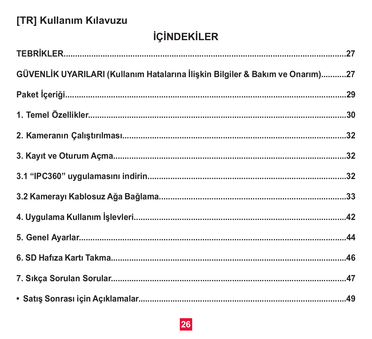## [TR] Kullanım Kılavuzu

# **İÇİNDEKİLER**

| GÜVENLİK UYARILARI (Kullanım Hatalarına İlişkin Bilgiler & Bakım ve Onarım)27 |  |
|-------------------------------------------------------------------------------|--|
|                                                                               |  |
|                                                                               |  |
|                                                                               |  |
|                                                                               |  |
|                                                                               |  |
|                                                                               |  |
|                                                                               |  |
|                                                                               |  |
|                                                                               |  |
|                                                                               |  |
|                                                                               |  |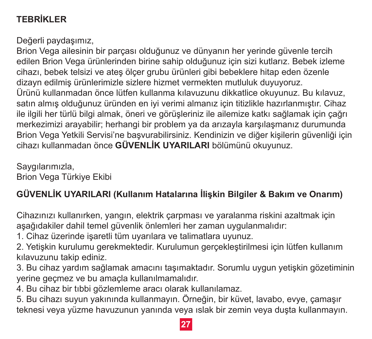## **TEBRİKLER**

Değerli paydaşımız,

Brion Vega ailesinin bir parcası olduğunuz ve dünyanın her verinde güvenle tercih edilen Brion Vega ürünlerinden birine sahip olduğunuz için sizi kutlarız. Bebek izleme cihazı, bebek telsizi ve ateş ölçer grubu ürünleri gibi bebeklere hitap eden özenle dizavn edilmis ürünlerimizle sizlere hizmet vermekten mutluluk duvuvoruz. Ürünü kullanmadan önce lütfen kullanma kılavuzunu dikkatlice okuyunuz. Bu kılavuz, satın almış olduğunuz üründen en iyi verimi almanız için titizlikle hazırlanmıştır. Cihaz ile ilgili her türlü bilgi almak, öneri ve görüsleriniz ile ailemize katkı sağlamak için çağrı merkezimizi arayabilir; herhangi bir problem ya da arızayla karşılaşmanız durumunda Brion Vega Yetkili Servisi'ne başvurabilirsiniz. Kendinizin ve diğer kişilerin güvenliği için cihazı kullanmadan önce GÜVENLİK UYARILARI bölümünü okuvunuz.

#### Savgılarımızla. Brion Vega Türkiye Ekibi

## GÜVENLİK UYARILARI (Kullanım Hatalarına İliskin Bilgiler & Bakım ve Onarım)

Cihazınızı kullanırken, yangın, elektrik çarpması ve yaralanma riskini azaltmak için asağıdakiler dahil temel güvenlik önlemleri her zaman uygulanmalıdır:

1. Cihaz üzerinde isaretli tüm uvarılara ve talimatlara uvunuz.

2. Yetişkin kurulumu gerekmektedir. Kurulumun gerçekleştirilmesi icin lütfen kullanım kılavuzunu takip ediniz.

3. Bu cihaz yardım sağlamak amacını taşımaktadır. Sorumlu uygun yetişkin gözetiminin verine gecmez ve bu amacla kullanılmamalıdır.

4. Bu cihaz bir tıbbi gözlemleme aracı olarak kullanılamaz.

5. Bu cihazı suvun yakınında kullanmayın, Örneğin, bir küyet, layabo, eyye, camasır teknesi veya yüzme havuzunun yanında veya ıslak bir zemin veya duşta kullanmayın.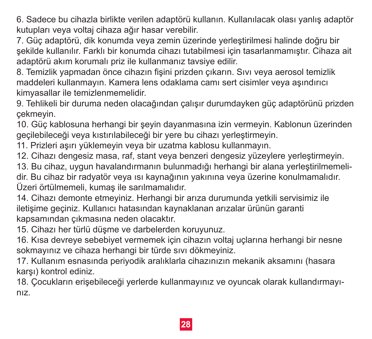6. Sadece bu cihazla birlikte verilen adaptörü kullanın. Kullanılacak olası yanlış adaptör kutupları veva voltai cihaza ağır hasar verebilir.

7. Güç adaptörü, dik konumda veya zemin üzerinde yerleştirilmesi halinde doğru bir sekilde kullanılır. Farklı bir konumda cihazı tutabilmesi için tasarlanmamıştır. Cihaza ait adaptörü akım korumalı priz ile kullanmanız tavsive edilir.

8. Temizlik yapmadan önce cihazın fişini prizden çıkarın. Sıvı veya aerosol temizlik maddeleri kullanmavın. Kamera lens odaklama camı sert cisimler veya asındırıcı kimyasallar ile temizlenmemelidir.

9. Tehlikeli bir duruma neden olacağından calısır durumdayken güc adaptörünü prizden cekmevin.

10. Güç kablosuna herhangi bir şeyin dayanmasına izin vermeyin. Kablonun üzerinden geçilebileceği veya kıstırılabileceği bir yere bu cihazı verleştirmeyin.

11. Prizleri aşırı yüklemeyin veya bir uzatma kablosu kullanmayın.

12. Cihazi dengesiz masa, raf, stant veva benzeri dengesiz vüzevlere verlestirmevin.

13. Bu cihaz, uvgun havalandırmanın bulunmadığı herhangi bir alana yerleştirilmemeli-

dir. Bu cihaz bir radyatör veya ısı kaynağının yakınına veya üzerine konulmamalıdır. Üzeri örtülmemeli, kumas ile sarılmamalıdır.

14. Cihazi demonte etmeviniz. Herhangi bir arıza durumunda vetkili servisimiz ile iletisime geciniz. Kullanıcı hatasından kaynaklanan arızalar ürünün garanti kapsamından cıkmasına neden olacaktır.

15. Cihazı her türlü düşme ve darbelerden koruyunuz.

16. Kisa devreve sebebivet vermemek için çihazın voltaj uçlarına herhangi bir nesne sokmavınız ve cihaza herhangi bir türde sıvı dökmeviniz.

17. Kullanım esnasında perivodik aralıklarla cihazınızın mekanik aksamını (hasara karşı) kontrol ediniz.

18. Cocukların erişebileceği yerlerde kullanmayınız ve oyuncak olarak kullandırmayı $n<sub>17</sub>$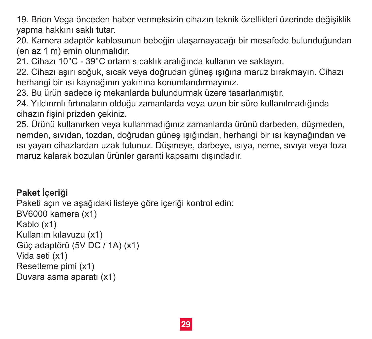19. Brion Vega önceden haber vermeksizin cihazın teknik özellikleri üzerinde değişiklik yapma hakkını saklı tutar.

20. Kamera adaptör kablosunun bebeğin ulaşamayacağı bir mesafede bulunduğundan (en az 1 m) emin olunmalıdır.

21. C�hazı 10°C - 39°C ortam sıcaklık aralığında kullanın ve saklayın.

22. C�hazı aşırı soğuk, sıcak veya doğrudan güneş ışığına maruz bırakmayın. C�hazı herhangi bir ısı kaynağının yakınına konumlandırmayınız.

23. Bu ürün sadece iç mekanlarda bulundurmak üzere tasarlanmıştır.

24. Yıldırımlı fırtınaların olduğu zamanlarda veya uzun bir süre kullanılmadığında cihazın fisini prizden çekiniz.

25. Ürünü kullanırken veya kullanmadığınız zamanlarda ürünü darbeden, düşmeden, nemden, sıvıdan, tozdan, doğrudan güneş ışığından, herhangi bir ısı kaynağından ve ısı yayan c�hazlardan uzak tutunuz. Düşmeye, darbeye, ısıya, neme, sıvıya veya toza maruz kalarak bozulan ürünler garant� kapsamı dışındadır.

## Paket İceriği

```
Paketi açın ve aşağıdaki listeye göre içeriği kontrol edin:
BV6000 kamera (x1)
Kablo (x1)
Kullanım kılavuzu (x1)
Güç adaptörü (5V DC / 1A) (x1)
Vida seti (x1)
Resetleme pimi (x1)
Duvara asma aparatı (x1)
```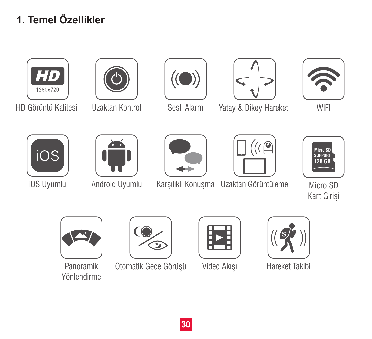# **1. Temel Özellikler**





















iOS Uyumlu Android Uyumlu Karşılıklı Konuşma Uzaktan Görüntüleme

Micro SD Kart Girişi



Yönlendirme



Panoramik Otomatik Gece Görüşü Video Akışı Hareket Takibi



Video Akışı





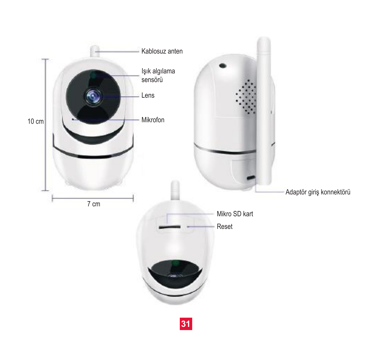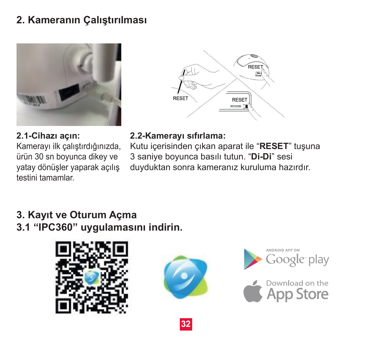## **2. Kameranın Çalıştırılması**



**2.1-Cihazı açın:** Kamerayı ilk çalıştırdığınızda, ürün 30 sn boyunca dikey ve yatay dönüşler yaparak açılış testini tamamlar.



#### **2.2-Kamerayı sıfırlama:**

Kutu içerisinden çıkan aparat ile "**RESET**" tuşuna 3 saniye boyunca basılı tutun. "**Di-Di**" sesi duyduktan sonra kameranız kuruluma hazırdır.

## **3. Kayıt ve Oturum Açma 3.1 "IPC360" uygulamasını indirin.**







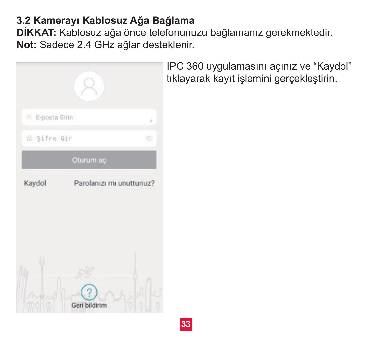## **3.2 Kamerayı Kablosuz Ağa Bağlama**

**DİKKAT:** Kablosuz ağa önce telefonunuzu bağlamanız gerekmektedir. **Not:** Sadece 2.4 GHz ağlar desteklenir.



IPC 360 uygulamasını açınız ve "Kaydol" tıklayarak kayıt işlemini gerçekleştirin.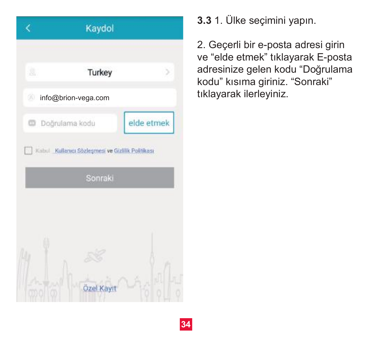|                | Kaydol                                            |            |
|----------------|---------------------------------------------------|------------|
|                |                                                   |            |
| g,             | Turkey                                            | 5          |
|                | info@brion-vega.com                               |            |
| Doğrulama kodu |                                                   | elde etmek |
|                | Kabul Kullanıcı Sözleşmesi ve Gizlilik Politikası |            |
|                | Sonraki                                           |            |

**3.3** 1. Ülke seçimini yapın.

2. Geçerli bir e-posta adresi girin ve "elde etmek" tıklayarak E-posta adresinize gelen kodu "Doğrulama kodu" kısıma giriniz. "Sonraki" tıklayarak ilerleyiniz.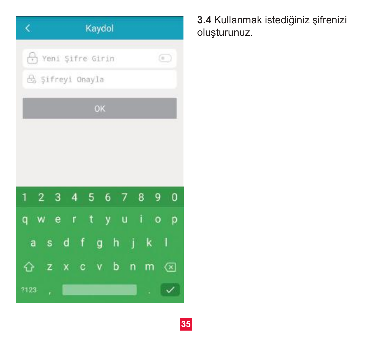| Kaydol<br>K.                                                                               |
|--------------------------------------------------------------------------------------------|
| (+) Yeni Şifre Girin<br>$\left($                                                           |
| G Sifreyi Onayla                                                                           |
| OK                                                                                         |
|                                                                                            |
|                                                                                            |
|                                                                                            |
| 4 5<br>6 <sup>6</sup><br>89<br>1<br>$\overline{3}$<br>2<br>0<br>7                          |
| $\mathbf{t}$<br>Ť.<br>y u<br>e e<br>г<br>$\circ$<br>q<br>p<br>w                            |
| g h<br>$d$ f<br>Ť<br>1<br>k<br>a<br>S                                                      |
| b<br>n<br>m<br>$\mathbf{c}$<br>$\mathbf{v}$<br>z<br>$\left( \overline{x}\right)$<br>⇧<br>X |
| 7123<br>ř.                                                                                 |

**3.4** Kullanmak istediğiniz şifrenizi oluşturunuz.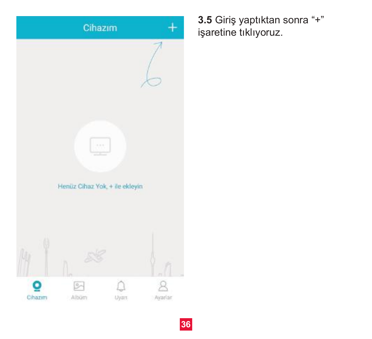

**3.5** Giriş yaptıktan sonra "+" işaretine tıklıyoruz.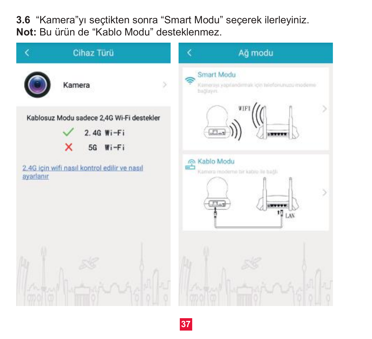**3.6** "Kamera"yı seçtikten sonra "Smart Modu" seçerek ilerleyiniz. **Not:** Bu ürün de "Kablo Modu" desteklenmez.

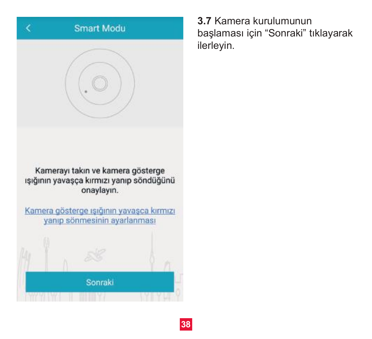

**3.7** Kamera kurulumunun başlaması için "Sonraki" tıklayarak ilerleyin.

Kamerayı takın ve kamera gösterge ışığının yavaşça kırmızı yanıp söndüğünü onaylayın.

Kamera gösterge ışığının yavaşca kırmızı vanıp sönmesinin avarlanması Sonraki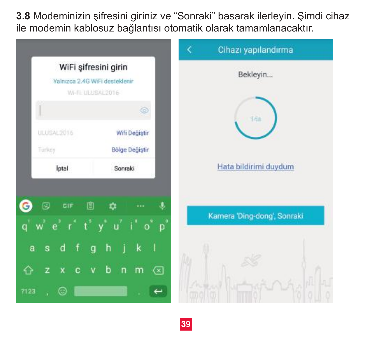**3.8** Modeminizin şifresini giriniz ve "Sonraki" basarak ilerleyin. Şimdi cihaz ile modemin kablosuz bağlantısı otomatik olarak tamamlanacaktır.

|                                                                                                      | k<br>Cihazı yapılandırma    |
|------------------------------------------------------------------------------------------------------|-----------------------------|
| WiFi şifresini girin<br>Yalnızca 2.4G WiFi desteklenir<br>WHILLUSAL2016                              | Bekleyin                    |
| $\circledcirc$                                                                                       | 1da                         |
| <b>ULUSAL2016</b><br>Wifi Değiştir<br>Turkey<br><b>Bölge Değiştir</b>                                |                             |
| İptal<br>Sonraki                                                                                     | Hata bildirimi duydum       |
| 囘<br>圁<br>CIF<br>n<br>$w^2$ $e^2$ $r^4$ $t^3$ $y^4$ $u^7$ $i^8$ $o^9$<br>$p^{\circ}$                 | Kamera 'Ding-dong', Sonraki |
| $-f$<br>h<br>k<br>a<br>s<br>d<br>g<br>4<br>b<br>$\mathsf{n}$<br>z<br>m<br>c<br>∞<br>$\mathbf v$<br>⇔ |                             |
| ⊙<br>7123                                                                                            |                             |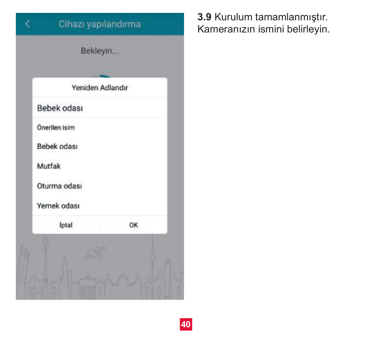

**3.9** Kurulum tamamlanmıştır. Kameranızın ismini belirleyin.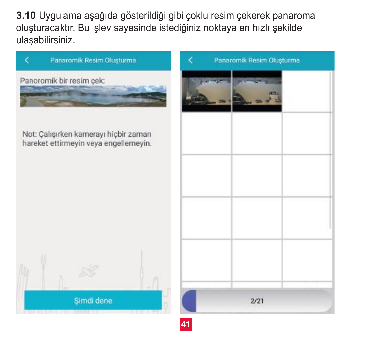**3.10** Uygulama aşağıda gösterildiği gibi çoklu resim çekerek panaroma oluşturacaktır. Bu işlev sayesinde istediğiniz noktaya en hızlı şekilde ulaşabilirsiniz.



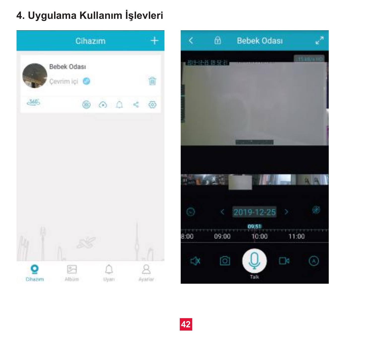## **4. Uygulama Kullanım İşlevleri**



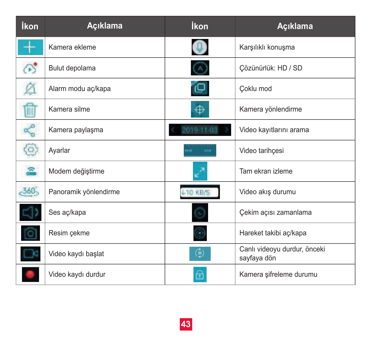| İkon                      | Acıklama              | İkon            | Açıklama                                    |
|---------------------------|-----------------------|-----------------|---------------------------------------------|
|                           | Kamera ekleme         |                 | Karşılıklı konuşma                          |
| $\mathbb{C}^{\bullet}$    | Bulut depolama        |                 | Çözünürlük: HD / SD                         |
|                           | Alarm modu aç/kapa    | ت⊡              | Coklu mod                                   |
| t                         | Kamera silme          | ⊕               | Kamera yönlendirme                          |
| $\alpha^{\circ}_{\alpha}$ | Kamera paylaşma       | 01911-08        | Video kayıtlarını arama                     |
| $\circ$                   | Ayarlar               |                 | Video tarihçesi                             |
| 요                         | Modem değiştirme      |                 | Tam ekran izleme                            |
| $-360^{\circ}$            | Panoramik yönlendirme | <b>L10 KB/S</b> | Video akış durumu                           |
|                           | Ses aç/kapa           |                 | Çekim açısı zamanlama                       |
|                           | Resim çekme           |                 | Hareket takibi aç/kapa                      |
|                           | Video kaydı başlat    | ⊜               | Canlı videoyu durdur, önceki<br>sayfaya dön |
|                           | Video kaydı durdur    |                 | Kamera şifreleme durumu                     |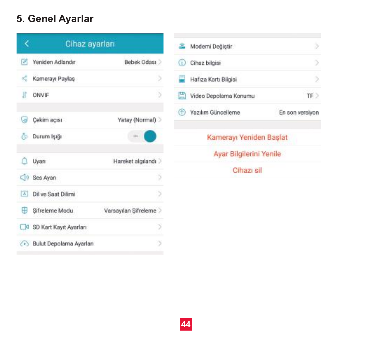## **5. Genel Ayarlar**



|   | Moderni Değiştir        |                 |
|---|-------------------------|-----------------|
|   | Cihaz bilgisi           |                 |
| ŋ | Hafıza Kartı Bilgisi    | ö               |
|   | Video Depolama Konumu   | TF >            |
|   | Yazılım Güncelleme      | En son versivon |
|   | Kamerayı Yeniden Başlat |                 |
|   | Ayar Bilgilerini Yenile |                 |
|   | Cihazi sil              |                 |
|   |                         |                 |

 $\epsilon$ 

 $\overline{\epsilon}$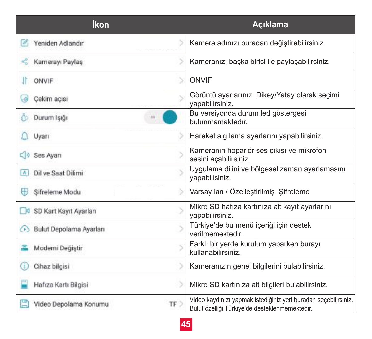| İkon                              | Açıklama                                                                                                          |  |
|-----------------------------------|-------------------------------------------------------------------------------------------------------------------|--|
| Yeniden Adlandır                  | Kamera adınızı buradan değiştirebilirsiniz.                                                                       |  |
| Kamerayı Paylas                   | Kameranızı başka birisi ile paylaşabilirsiniz.                                                                    |  |
| <b>ONVIF</b>                      | ONVIF                                                                                                             |  |
| Cal<br>Cekim açısı                | Görüntü ayarlarınızı Dikey/Yatay olarak seçimi<br>vapabilirsiniz.                                                 |  |
| Durum Isian<br>£о                 | Bu versiyonda durum led göstergesi<br>bulunmamaktadır.                                                            |  |
| Uyarı                             | Hareket algılama ayarlarını yapabilirsiniz.                                                                       |  |
| CD Ses Avant                      | Kameranın hoparlör ses çıkışı ve mikrofon<br>sesini açabilirsiniz.                                                |  |
| Dil ve Saat Dilimi<br>A1          | Uygulama dilini ve bölgesel zaman ayarlamasını<br>vapabilisiniz.                                                  |  |
| ⊞<br>5<br>Sifreleme Modu          | Varsayılan / Özelleştirilmiş Şifreleme                                                                            |  |
| SD Kart Kayıt Ayarları            | Mikro SD hafıza kartınıza ait kayıt ayarlarını<br>vapabilirsiniz.                                                 |  |
| Bulut Depolama Ayarları           | Türkiye'de bu menü içeriği için destek<br>verilmemektedir.                                                        |  |
| Moderni Değiştir                  | Farklı bir yerde kurulum yaparken burayı<br>kullanabilirsiniz.                                                    |  |
| 5<br>Œ<br>Cihaz bilgisi           | Kameranızın genel bilgilerini bulabilirsiniz.                                                                     |  |
| 5<br>Hafıza Kartı Bilgisi         | Mikro SD kartınıza ait bilgileri bulabilirsiniz.                                                                  |  |
| 圕<br>TF)<br>Video Depolama Konumu | Video kaydınızı yapmak istediğiniz yeri buradan seçebilirsiniz.<br>Bulut özelliği Türkiye'de desteklenmemektedir. |  |

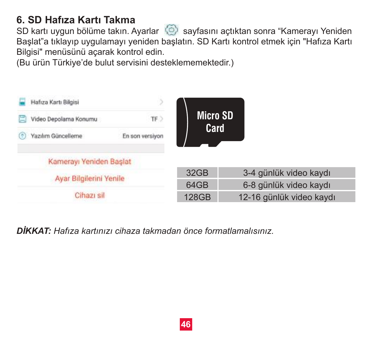## **6. SD Hafıza Kartı Takma**

SD kartı uygun bölüme takın. Ayarlar (b) sayfasını açtıktan sonra "Kamerayı Yeniden Başlat"a tıklayıp uygulamayı yeniden başlatın. SD Kartı kontrol etmek için "Hafıza Kartı Bilgisi" menüsünü açarak kontrol edin.

(Bu ürün Türkiye'de bulut servisini desteklememektedir.)



*DİKKAT: Hafıza kartınızı cihaza takmadan önce formatlamalısınız.*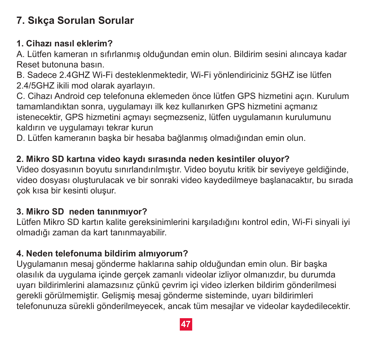## **7. Sıkça Sorulan Sorular**

## **1. Cihazı nasıl eklerim?**

A. Lütfen kameran ın sıfırlanmış olduğundan emin olun. Bildirim sesini alıncaya kadar Reset butonuna basın.

B. Sadece 2.4GHZ Wi-Fi desteklenmektedir, Wi-Fi yönlendiriciniz 5GHZ ise lütfen 2.4/5GHZ ikili mod olarak ayarlayın.

C. Cihazı Android cep telefonuna eklemeden önce lütfen GPS hizmetini açın. Kurulum tamamlandıktan sonra, uygulamayı ilk kez kullanırken GPS hizmetini açmanız istenecektir, GPS hizmetini açmayı seçmezseniz, lütfen uygulamanın kurulumunu kaldırın ve uygulamayı tekrar kurun

D. Lütfen kameranın başka bir hesaba bağlanmış olmadığından emin olun.

## **2. Mikro SD kartına video kaydı sırasında neden kesintiler oluyor?**

Video dosyasının boyutu sınırlandırılmıştır. Video boyutu kritik bir seviyeye geldiğinde, video dosyası oluşturulacak ve bir sonraki video kaydedilmeye başlanacaktır, bu sırada çok kısa bir kesinti oluşur.

## **3. Mikro SD neden tanınmıyor?**

Lütfen Mikro SD kartın kalite gereksinimlerini karşıladığını kontrol edin, Wi-Fi sinyali iyi olmadığı zaman da kart tanınmayabilir.

#### **4. Neden telefonuma bildirim almıyorum?**

Uygulamanın mesaj gönderme haklarına sahip olduğundan emin olun. Bir başka olasılık da uygulama içinde gerçek zamanlı videolar izliyor olmanızdır, bu durumda uyarı bildirimlerini alamazsınız çünkü çevrim içi video izlerken bildirim gönderilmesi gerekli görülmemiştir. Gelişmiş mesaj gönderme sisteminde, uyarı bildirimleri telefonunuza sürekli gönderilmeyecek, ancak tüm mesajlar ve videolar kaydedilecektir.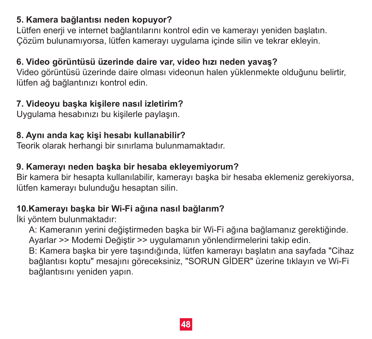#### **5. Kamera bağlantısı neden kopuyor?**

Lütfen enerji ve internet bağlantılarını kontrol edin ve kamerayı yeniden başlatın. Çözüm bulunamıyorsa, lütfen kamerayı uygulama içinde silin ve tekrar ekleyin.

## **6. Video görüntüsü üzerinde daire var, video hızı neden yavaş?**

Video görüntüsü üzerinde daire olması videonun halen yüklenmekte olduğunu belirtir, lütfen ağ bağlantınızı kontrol edin.

#### **7. Videoyu başka kişilere nasıl izletirim?**

Uygulama hesabınızı bu kişilerle paylaşın.

## **8. Aynı anda kaç kişi hesabı kullanabilir?**

Teorik olarak herhangi bir sınırlama bulunmamaktadır.

#### **9. Kamerayı neden başka bir hesaba ekleyemiyorum?**

Bir kamera bir hesapta kullanılabilir, kamerayı başka bir hesaba eklemeniz gerekiyorsa, lütfen kamerayı bulunduğu hesaptan silin.

## **10.Kamerayı başka bir Wi-Fi ağına nasıl bağlarım?**

İki yöntem bulunmaktadır:

 A: Kameranın yerini değiştirmeden başka bir Wi-Fi ağına bağlamanız gerektiğinde. Ayarlar >> Modemi Değiştir >> uygulamanın yönlendirmelerini takip edin.

 B: Kamera başka bir yere taşındığında, lütfen kamerayı başlatın ana sayfada "Cihaz bağlantısı koptu" mesajını göreceksiniz, "SORUN GİDER" üzerine tıklayın ve Wi-Fi bağlantısını yeniden yapın.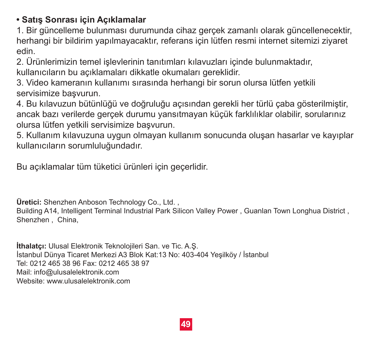## **• Satış Sonrası için Açıklamalar**

1. Bir güncelleme bulunması durumunda cihaz gerçek zamanlı olarak güncellenecektir, herhangi bir bildirim yapılmayacaktır, referans için lütfen resmi internet sitemizi ziyaret edin.

2. Ürünlerimizin temel işlevlerinin tanıtımları kılavuzları içinde bulunmaktadır, kullanıcıların bu açıklamaları dikkatle okumaları gereklidir.

3. Video kameranın kullanımı sırasında herhangi bir sorun olursa lütfen yetkili servisimize basvurun.

4. Bu kılavuzun bütünlüğü ve doğruluğu açısından gerekli her türlü çaba gösterilmiştir, ancak bazı verilerde gerçek durumu yansıtmayan küçük farklılıklar olabilir, sorularınız olursa lütfen yetkili servisimize başvurun.

5. Kullanım kılavuzuna uygun olmayan kullanım sonucunda oluşan hasarlar ve kayıplar kullanıcıların sorumluluğundadır.

Bu açıklamalar tüm tüketici ürünleri için geçerlidir.

Üretici: Shenzhen Anboson Technology Co., Ltd.

Building A14, Intelligent Terminal Industrial Park Silicon Valley Power , Guanlan Town Longhua District , Shenzhen China

**İthalatçı:** Ulusal Elektronik Teknolojileri San. ve Tic. A.Ş. İstanbul Dünya Ticaret Merkezi A3 Blok Kat:13 No: 403-404 Yeşilköy / İstanbul Tel: 0212 465 38 96 Fax: 0212 465 38 97 Mail: info@ulusalelektronik.com Website: www.ulusalelektronik.com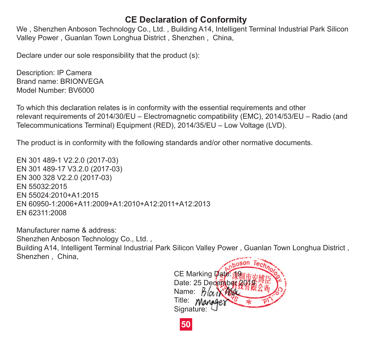#### **CE Declaration of Conformity**

We , Shenzhen Anboson Technology Co., Ltd. , Building A14, Intelligent Terminal Industrial Park Silicon Valley Power , Guanlan Town Longhua District , Shenzhen , China,

Declare under our sole responsibility that the product (s):

Description: IP Camera Brand name: BRIONVEGA Model Number: BV6000

To which this declaration relates is in conformity with the essential requirements and other relevant requirements of 2014/30/EU – Electromagnetic compatibility (EMC), 2014/53/EU – Radio (and Telecommunications Terminal) Equipment (RED), 2014/35/EU – Low Voltage (LVD).

The product is in conformity with the following standards and/or other normative documents.

EN 301 489-1 V2.2.0 (2017-03) EN 301 489-17 V3.2.0 (2017-03) EN 300 328 V2.2.0 (2017-03) EN 55032:2015 EN 55024:2010+A1:2015 EN 60950-1:2006+A11:2009+A1:2010+A12:2011+A12:2013 EN 62311:2008

Manufacturer name & address:

Shenzhen Anboson Technology Co., Ltd. ,

Building A14, Intelligent Terminal Industrial Park Silicon Valley Power , Guanlan Town Longhua District , Shenzhen , China,



**50**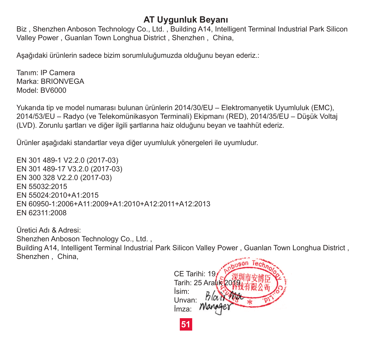#### **AT Uygunluk Beyanı**

Biz , Shenzhen Anboson Technology Co., Ltd. , Building A14, Intelligent Terminal Industrial Park Silicon Valley Power , Guanlan Town Longhua District , Shenzhen , China,

Aşağıdaki ürünlerin sadece bizim sorumluluğumuzda olduğunu beyan ederiz.:

Tanım: IP Camera Marka: BRIONVEGA Model: BV6000

Yukarıda tip ve model numarası bulunan ürünlerin 2014/30/EU – Elektromanyetik Uyumluluk (EMC), 2014/53/EU – Radyo (ve Telekomünikasyon Terminali) Ekipmanı (RED), 2014/35/EU – Düşük Voltaj (LVD). Zorunlu şartları ve diğer ilgili şartlarına haiz olduğunu beyan ve taahhüt ederiz.

Ürünler aşağıdaki standartlar veya diğer uyumluluk yönergeleri ile uyumludur.

EN 301 489-1 V2.2.0 (2017-03) EN 301 489-17 V3.2.0 (2017-03) EN 300 328 V2.2.0 (2017-03) EN 55032:2015 EN 55024:2010+A1:2015 EN 60950-1:2006+A11:2009+A1:2010+A12:2011+A12:2013 EN 62311:2008

Üretici Adı & Adresi:

Shenzhen Anboson Technology Co., Ltd. ,

Building A14, Intelligent Terminal Industrial Park Silicon Valley Power , Guanlan Town Longhua District , Shenzhen , China,

**51** CE Tarihi: 19 Tarih: 25 Aralık 20 İsim: Unvan: İmza: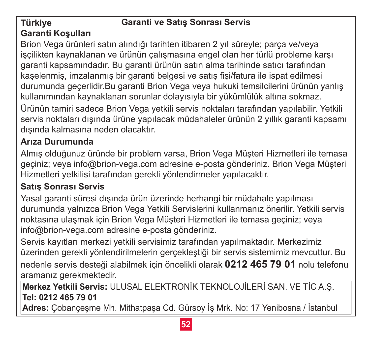## **Garanti ve Satış Sonrası Servis**

#### **Türkiye Garanti Koşulları**

Brion Vega ürünleri satın alındığı tarihten itibaren 2 yıl süreyle; parça ve/veya işçilikten kaynaklanan ve ürünün çalışmasına engel olan her türlü probleme karşı garanti kapsamındadır. Bu garanti ürünün satın alma tarihinde satıcı tarafından kaşelenmiş, imzalanmış bir garanti belgesi ve satış fişi/fatura ile ispat edilmesi durumunda geçerlidir.Bu garanti Brion Vega veya hukuki temsilcilerini ürünün yanlış kullanımından kaynaklanan sorunlar dolayısıyla bir yükümlülük altına sokmaz. Ürünün tamiri sadece Brion Vega yetkili servis noktaları tarafından yapılabilir. Yetkili

servis noktaları dışında ürüne yapılacak müdahaleler ürünün 2 yıllık garanti kapsamı dışında kalmasına neden olacaktır.

## **Arıza Durumunda**

Almış olduğunuz üründe bir problem varsa, Brion Vega Müşteri Hizmetleri ile temasa geçiniz; veya info@brion-vega.com adresine e-posta gönderiniz. Brion Vega Müşteri Hizmetleri yetkilisi tarafından gerekli yönlendirmeler yapılacaktır.

## **Satış Sonrası Servis**

Yasal garanti süresi dışında ürün üzerinde herhangi bir müdahale yapılması durumunda yalnızca Brion Vega Yetkili Servislerini kullanmanız önerilir. Yetkili servis noktasına ulaşmak için Brion Vega Müşteri Hizmetleri ile temasa geçiniz; veya info@brion-vega.com adresine e-posta gönderiniz.

Servis kayıtları merkezi yetkili servisimiz tarafından yapılmaktadır. Merkezimiz üzerinden gerekli yönlendirilmelerin gerçekleştiği bir servis sistemimiz mevcuttur. Bu nedenle servis desteği alabilmek için öncelikli olarak **0212 465 79 01** nolu telefonu aramanız gerekmektedir.

**Merkez Yetkili Servis:** ULUSAL ELEKTRONİK TEKNOLOJİLERİ SAN. VE TİC A.Ş. **Tel: 0212 465 79 01**

**Adres:** Çobançeşme Mh. Mithatpaşa Cd. Gürsoy İş Mrk. No: 17 Yenibosna / İstanbul

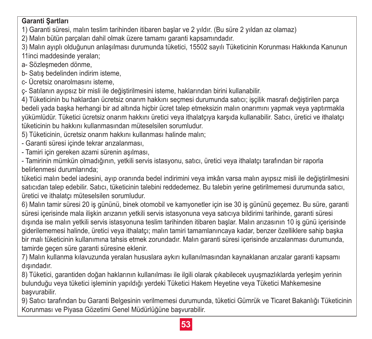#### **Garanti Şartları**

1) Garanti süresi, malın teslim tarihinden itibaren başlar ve 2 yıldır. (Bu süre 2 yıldan az olamaz)

2) Malın bütün parçaları dahil olmak üzere tamamı garanti kapsamındadır.

3) Malın ayıplı olduğunun anlaşılması durumunda tüketici, 15502 sayılı Tüketicinin Korunması Hakkında Kanunun 11inci maddesinde yeralan;

a- Sözleşmeden dönme,

b- Satış bedelinden indirim isteme,

c- Ücretsiz onarolmasını isteme,

ç- Satılanın ayıpsız bir misli ile değiştirilmesini isteme, haklarından birini kullanabilir.

4) Tüketicinin bu haklardan ücretsiz onarım hakkını seçmesi durumunda satıcı; işçilik masrafı değiştirilen parça bedeli yada başka herhangi bir ad altında hiçbir ücret talep etmeksizin malın onarımını yapmak veya yaptırmakla yükümlüdür. Tüketici ücretsiz onarım hakkını üretici veya ithalatçıya karşıda kullanabilir. Satıcı, üretici ve ithalatçı tüketicinin bu hakkını kullanmasından müteselsilen sorumludur.

5) Tüketicinin, ücretsiz onarım hakkını kullanması halinde malın;

- Garanti süresi içinde tekrar arızalanması,

- Tamiri için gereken azami sürenin aşılması,

- Tamirinin mümkün olmadığının, yetkili servis istasyonu, satıcı, üretici veya ithalatçı tarafından bir raporla belirlenmesi durumlarında;

tüketici malın bedel iadesini, ayıp oranında bedel indirimini veya imkân varsa malın ayıpsız misli ile değiştirilmesini satıcıdan talep edebilir. Satıcı, tüketicinin talebini reddedemez. Bu talebin yerine getirilmemesi durumunda satıcı, üretici ve ithalatçı müteselsilen sorumludur.

6) Malın tamir süresi 20 iş gününü, binek otomobil ve kamyonetler için ise 30 iş gününü geçemez. Bu süre, garanti süresi içerisinde mala ilişkin arızanın yetkili servis istasyonuna veya satıcıya bildirimi tarihinde, garanti süresi dışında ise malın yetkili servis istasyonuna teslim tarihinden itibaren başlar. Malın arızasının 10 iş günü içerisinde giderilememesi halinde, üretici veya ithalatçı; malın tamiri tamamlanıncaya kadar, benzer özelliklere sahip başka bir malı tüketicinin kullanımına tahsis etmek zorundadır. Malın garanti süresi içerisinde arızalanması durumunda, tamirde geçen süre garanti süresine eklenir.

7) Malın kullanma kılavuzunda yeralan hususlara aykırı kullanılmasından kaynaklanan arızalar garanti kapsamı dışındadır.

8) Tüketici, garantiden doğan haklarının kullanılması ile ilgili olarak çıkabilecek uyuşmazlıklarda yerleşim yerinin bulunduğu veya tüketici işleminin yapıldığı yerdeki Tüketici Hakem Heyetine veya Tüketici Mahkemesine başvurabilir.

9) Satıcı tarafından bu Garanti Belgesinin verilmemesi durumunda, tüketici Gümrük ve Ticaret Bakanlığı Tüketicinin Korunması ve Piyasa Gözetimi Genel Müdürlüğüne başvurabilir.

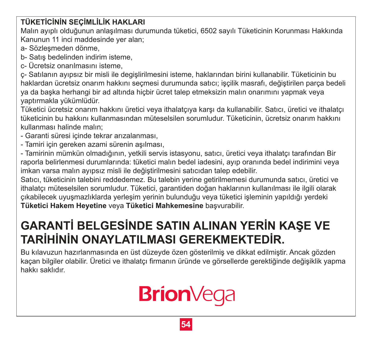## **TÜKETİCİNİN SEÇİMLİLİK HAKLARI**

Malın ayıplı olduğunun anlaşılması durumunda tüketici, 6502 sayılı Tüketicinin Korunması Hakkında Kanunun 11 inci maddesinde yer alan;

a- Sözleşmeden dönme,

b- Satış bedelinden indirim isteme,

c- Ücretsiz onarılmasını isteme,

ç- Satılanın ayıpsız bir misli ile degişlirilmesini isteme, haklarından birini kullanabilir. Tüketicinin bu haklardan ücretsiz onarım hakkını seçmesi durumunda satıcı; işçilik masrafı, değiştirilen parça bedeli ya da başka herhangi bir ad altında hiçbir ücret talep etmeksizin malın onarımını yapmak veya yaptırmakla yükümlüdür.

Tüketici ücretsiz onarım hakkını üretici veya ithalatçıya karşı da kullanabilir. Satıcı, üretici ve ithalatçı tüketicinin bu hakkını kullanmasından müteselsilen sorumludur. Tüketicinin, ücretsiz onarım hakkını kullanması halinde malın;

- Garanti süresi içinde tekrar arızalanması,
- Tamiri için gereken azami sürenin aşılması,

- Tamirinin mümkün olmadığının, yetkili servis istasyonu, satıcı, üretici veya ithalatçı tarafından Bir raporla belirlenmesi durumlarında: tüketici malın bedel iadesini, ayıp oranında bedel indirimini veya imkan varsa malın ayıpsız misli ile değiştirilmesini satıcıdan talep edebilir.

Satıcı, tüketicinin talebini reddedemez. Bu talebin yerine getirilmemesi durumunda satıcı, üretici ve ithalatçı müteselsilen sorumludur. Tüketici, garantiden doğan haklarının kullanılması ile ilgili olarak çıkabilecek uyuşmazlıklarda yerleşim yerinin bulunduğu veya tüketici işleminin yapıldığı yerdeki **Tüketici Hakem Heyetine** veya **Tüketici Mahkemesine** başvurabilir.

# **GARANTİ BELGESİNDE SATIN ALINAN YERİN KAŞE VE TARİHİNİN ONAYLATILMASI GEREKMEKTEDİR.**

Bu kılavuzun hazırlanmasında en üst düzeyde özen gösterilmiş ve dikkat edilmiştir. Ancak gözden kaçan bilgiler olabilir. Üretici ve ithalatçı firmanın üründe ve görsellerde gerektiğinde değişiklik yapma hakkı saklıdır.